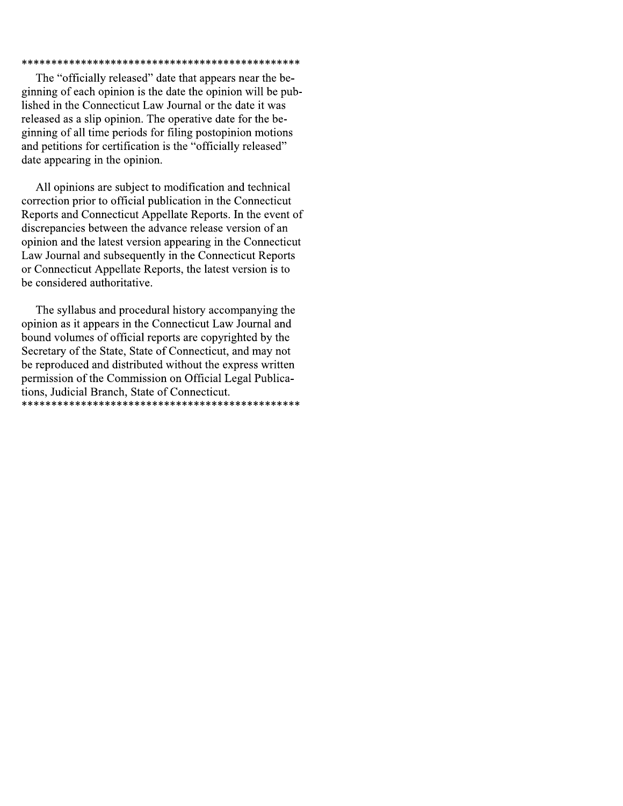#### 

The "officially released" date that appears near the beginning of each opinion is the date the opinion will be published in the Connecticut Law Journal or the date it was released as a slip opinion. The operative date for the beginning of all time periods for filing postopinion motions and petitions for certification is the "officially released" date appearing in the opinion.

All opinions are subject to modification and technical correction prior to official publication in the Connecticut Reports and Connecticut Appellate Reports. In the event of discrepancies between the advance release version of an opinion and the latest version appearing in the Connecticut Law Journal and subsequently in the Connecticut Reports or Connecticut Appellate Reports, the latest version is to be considered authoritative.

The syllabus and procedural history accompanying the opinion as it appears in the Connecticut Law Journal and bound volumes of official reports are copyrighted by the Secretary of the State, State of Connecticut, and may not be reproduced and distributed without the express written permission of the Commission on Official Legal Publications, Judicial Branch, State of Connecticut.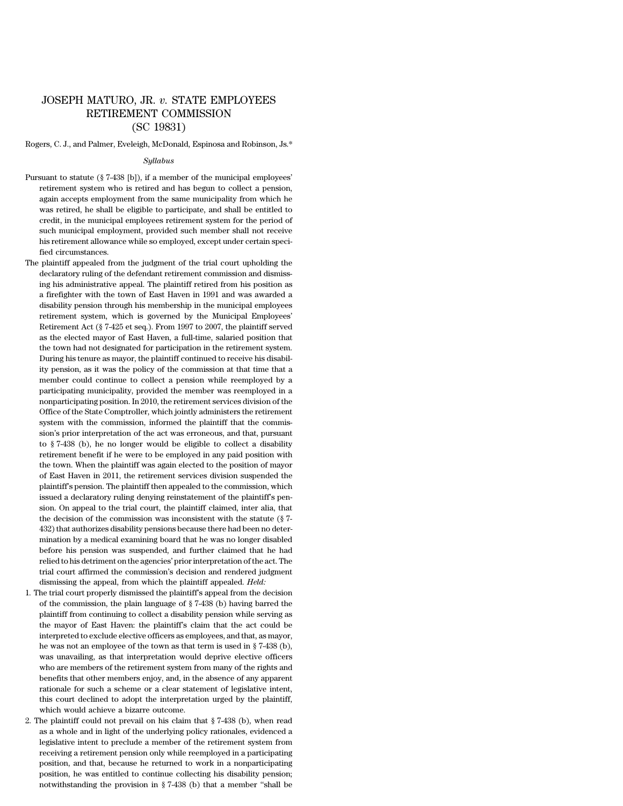# JOSEPH MATURO, JR. *v.* STATE EMPLOYEES RETIREMENT COMMISSION (SC 19831)

Rogers, C. J., and Palmer, Eveleigh, McDonald, Espinosa and Robinson, Js.\*

#### *Syllabus*

- Pursuant to statute (§ 7-438 [b]), if a member of the municipal employees' retirement system who is retired and has begun to collect a pension, again accepts employment from the same municipality from which he was retired, he shall be eligible to participate, and shall be entitled to credit, in the municipal employees retirement system for the period of such municipal employment, provided such member shall not receive his retirement allowance while so employed, except under certain specified circumstances.
- The plaintiff appealed from the judgment of the trial court upholding the declaratory ruling of the defendant retirement commission and dismissing his administrative appeal. The plaintiff retired from his position as a firefighter with the town of East Haven in 1991 and was awarded a disability pension through his membership in the municipal employees retirement system, which is governed by the Municipal Employees' Retirement Act (§ 7-425 et seq.). From 1997 to 2007, the plaintiff served as the elected mayor of East Haven, a full-time, salaried position that the town had not designated for participation in the retirement system. During his tenure as mayor, the plaintiff continued to receive his disability pension, as it was the policy of the commission at that time that a member could continue to collect a pension while reemployed by a participating municipality, provided the member was reemployed in a nonparticipating position. In 2010, the retirement services division of the Office of the State Comptroller, which jointly administers the retirement system with the commission, informed the plaintiff that the commission's prior interpretation of the act was erroneous, and that, pursuant to § 7-438 (b), he no longer would be eligible to collect a disability retirement benefit if he were to be employed in any paid position with the town. When the plaintiff was again elected to the position of mayor of East Haven in 2011, the retirement services division suspended the plaintiff's pension. The plaintiff then appealed to the commission, which issued a declaratory ruling denying reinstatement of the plaintiff's pension. On appeal to the trial court, the plaintiff claimed, inter alia, that the decision of the commission was inconsistent with the statute (§ 7- 432) that authorizes disability pensions because there had been no determination by a medical examining board that he was no longer disabled before his pension was suspended, and further claimed that he had relied to his detriment on the agencies' priorinterpretation of the act. The trial court affirmed the commission's decision and rendered judgment dismissing the appeal, from which the plaintiff appealed. *Held:*
- 1*.* The trial court properly dismissed the plaintiff's appeal from the decision of the commission, the plain language of § 7-438 (b) having barred the plaintiff from continuing to collect a disability pension while serving as the mayor of East Haven: the plaintiff's claim that the act could be interpreted to exclude elective officers as employees, and that, as mayor, he was not an employee of the town as that term is used in § 7-438 (b), was unavailing, as that interpretation would deprive elective officers who are members of the retirement system from many of the rights and benefits that other members enjoy, and, in the absence of any apparent rationale for such a scheme or a clear statement of legislative intent, this court declined to adopt the interpretation urged by the plaintiff, which would achieve a bizarre outcome.
- 2. The plaintiff could not prevail on his claim that § 7-438 (b), when read as a whole and in light of the underlying policy rationales, evidenced a legislative intent to preclude a member of the retirement system from receiving a retirement pension only while reemployed in a participating position, and that, because he returned to work in a nonparticipating position, he was entitled to continue collecting his disability pension; notwithstanding the provision in § 7-438 (b) that a member ''shall be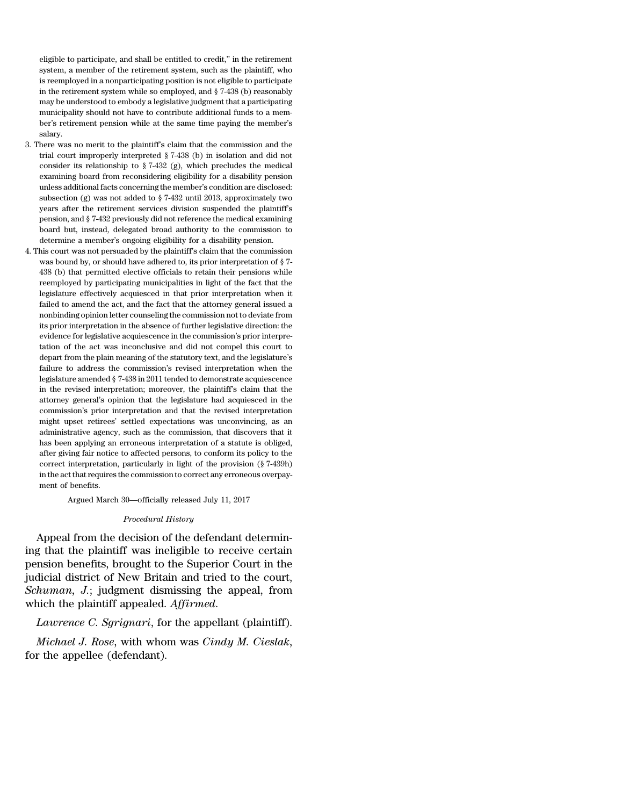eligible to participate, and shall be entitled to credit,'' in the retirement system, a member of the retirement system, such as the plaintiff, who is reemployed in a nonparticipating position is not eligible to participate in the retirement system while so employed, and § 7-438 (b) reasonably may be understood to embody a legislative judgment that a participating municipality should not have to contribute additional funds to a member's retirement pension while at the same time paying the member's salary.

- 3. There was no merit to the plaintiff's claim that the commission and the trial court improperly interpreted § 7-438 (b) in isolation and did not consider its relationship to § 7-432 (g), which precludes the medical examining board from reconsidering eligibility for a disability pension unless additional facts concerning the member's condition are disclosed: subsection (g) was not added to § 7-432 until 2013, approximately two years after the retirement services division suspended the plaintiff's pension, and § 7-432 previously did not reference the medical examining board but, instead, delegated broad authority to the commission to determine a member's ongoing eligibility for a disability pension.
- 4. This court was not persuaded by the plaintiff's claim that the commission was bound by, or should have adhered to, its prior interpretation of § 7- 438 (b) that permitted elective officials to retain their pensions while reemployed by participating municipalities in light of the fact that the legislature effectively acquiesced in that prior interpretation when it failed to amend the act, and the fact that the attorney general issued a nonbinding opinion letter counseling the commission not to deviate from its prior interpretation in the absence of further legislative direction: the evidence for legislative acquiescence in the commission's prior interpretation of the act was inconclusive and did not compel this court to depart from the plain meaning of the statutory text, and the legislature's failure to address the commission's revised interpretation when the legislature amended § 7-438 in 2011 tended to demonstrate acquiescence in the revised interpretation; moreover, the plaintiff's claim that the attorney general's opinion that the legislature had acquiesced in the commission's prior interpretation and that the revised interpretation might upset retirees' settled expectations was unconvincing, as an administrative agency, such as the commission, that discovers that it has been applying an erroneous interpretation of a statute is obliged, after giving fair notice to affected persons, to conform its policy to the correct interpretation, particularly in light of the provision (§ 7-439h) in the act that requires the commission to correct any erroneous overpayment of benefits.

Argued March 30—officially released July 11, 2017

#### *Procedural History*

Appeal from the decision of the defendant determining that the plaintiff was ineligible to receive certain pension benefits, brought to the Superior Court in the judicial district of New Britain and tried to the court, *Schuman, J.*; judgment dismissing the appeal, from which the plaintiff appealed. *Affirmed*.

## *Lawrence C. Sgrignari*, for the appellant (plaintiff).

*Michael J. Rose*, with whom was *Cindy M. Cieslak*, for the appellee (defendant).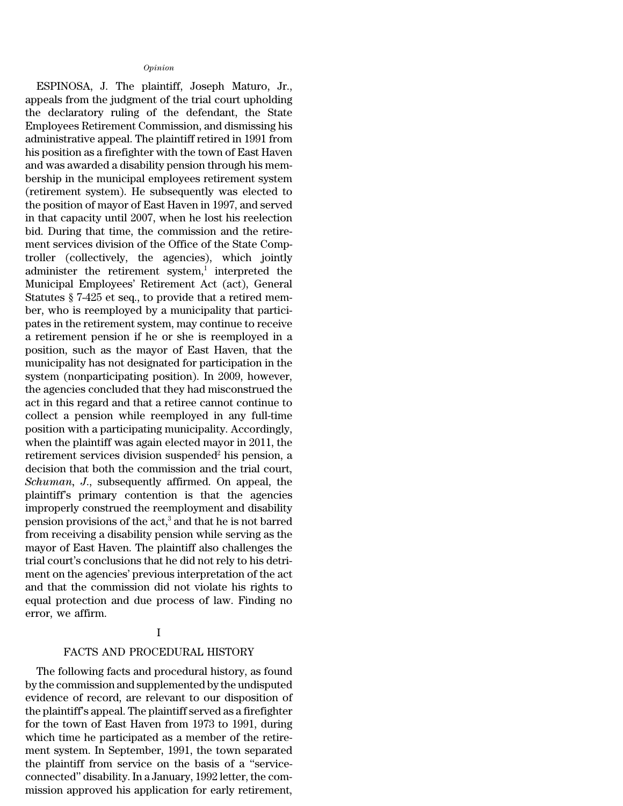#### *Opinion*

ESPINOSA, J. The plaintiff, Joseph Maturo, Jr., appeals from the judgment of the trial court upholding the declaratory ruling of the defendant, the State Employees Retirement Commission, and dismissing his administrative appeal. The plaintiff retired in 1991 from his position as a firefighter with the town of East Haven and was awarded a disability pension through his membership in the municipal employees retirement system (retirement system). He subsequently was elected to the position of mayor of East Haven in 1997, and served in that capacity until 2007, when he lost his reelection bid. During that time, the commission and the retirement services division of the Office of the State Comptroller (collectively, the agencies), which jointly administer the retirement system, $\frac{1}{1}$  interpreted the Municipal Employees' Retirement Act (act), General Statutes § 7-425 et seq., to provide that a retired member, who is reemployed by a municipality that participates in the retirement system, may continue to receive a retirement pension if he or she is reemployed in a position, such as the mayor of East Haven, that the municipality has not designated for participation in the system (nonparticipating position). In 2009, however, the agencies concluded that they had misconstrued the act in this regard and that a retiree cannot continue to collect a pension while reemployed in any full-time position with a participating municipality. Accordingly, when the plaintiff was again elected mayor in 2011, the retirement services division suspended<sup>2</sup> his pension, a decision that both the commission and the trial court, *Schuman, J*., subsequently affirmed. On appeal, the plaintiff's primary contention is that the agencies improperly construed the reemployment and disability pension provisions of the act,<sup>3</sup> and that he is not barred from receiving a disability pension while serving as the mayor of East Haven. The plaintiff also challenges the trial court's conclusions that he did not rely to his detriment on the agencies' previous interpretation of the act and that the commission did not violate his rights to equal protection and due process of law. Finding no error, we affirm.

# I

## FACTS AND PROCEDURAL HISTORY

The following facts and procedural history, as found by the commission and supplemented by the undisputed evidence of record, are relevant to our disposition of the plaintiff's appeal. The plaintiff served as a firefighter for the town of East Haven from 1973 to 1991, during which time he participated as a member of the retirement system. In September, 1991, the town separated the plaintiff from service on the basis of a ''serviceconnected'' disability. In a January, 1992 letter, the commission approved his application for early retirement,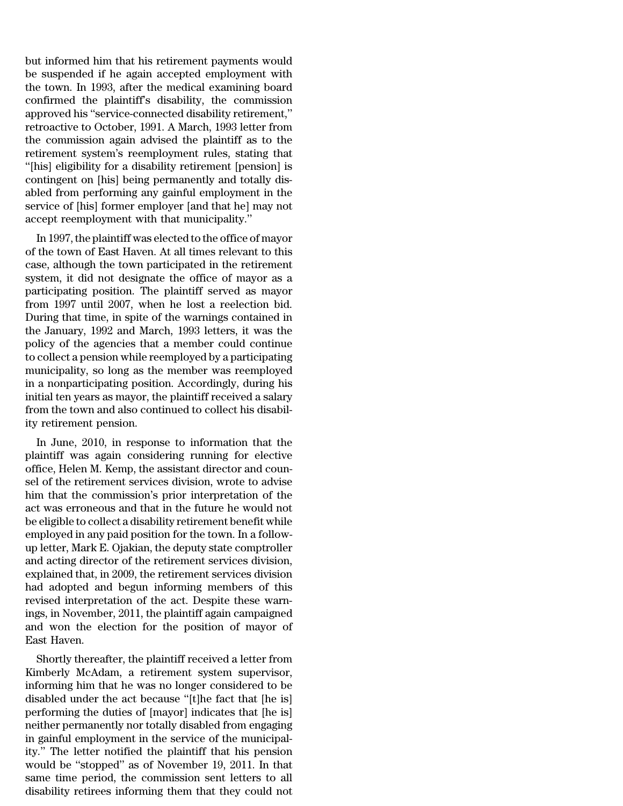but informed him that his retirement payments would be suspended if he again accepted employment with the town. In 1993, after the medical examining board confirmed the plaintiff's disability, the commission approved his ''service-connected disability retirement,'' retroactive to October, 1991. A March, 1993 letter from the commission again advised the plaintiff as to the retirement system's reemployment rules, stating that ''[his] eligibility for a disability retirement [pension] is contingent on [his] being permanently and totally disabled from performing any gainful employment in the service of [his] former employer [and that he] may not accept reemployment with that municipality.''

In 1997, the plaintiff was elected to the office of mayor of the town of East Haven. At all times relevant to this case, although the town participated in the retirement system, it did not designate the office of mayor as a participating position. The plaintiff served as mayor from 1997 until 2007, when he lost a reelection bid. During that time, in spite of the warnings contained in the January, 1992 and March, 1993 letters, it was the policy of the agencies that a member could continue to collect a pension while reemployed by a participating municipality, so long as the member was reemployed in a nonparticipating position. Accordingly, during his initial ten years as mayor, the plaintiff received a salary from the town and also continued to collect his disability retirement pension.

In June, 2010, in response to information that the plaintiff was again considering running for elective office, Helen M. Kemp, the assistant director and counsel of the retirement services division, wrote to advise him that the commission's prior interpretation of the act was erroneous and that in the future he would not be eligible to collect a disability retirement benefit while employed in any paid position for the town. In a followup letter, Mark E. Ojakian, the deputy state comptroller and acting director of the retirement services division, explained that, in 2009, the retirement services division had adopted and begun informing members of this revised interpretation of the act. Despite these warnings, in November, 2011, the plaintiff again campaigned and won the election for the position of mayor of East Haven.

Shortly thereafter, the plaintiff received a letter from Kimberly McAdam, a retirement system supervisor, informing him that he was no longer considered to be disabled under the act because ''[t]he fact that [he is] performing the duties of [mayor] indicates that [he is] neither permanently nor totally disabled from engaging in gainful employment in the service of the municipality.'' The letter notified the plaintiff that his pension would be ''stopped'' as of November 19, 2011. In that same time period, the commission sent letters to all disability retirees informing them that they could not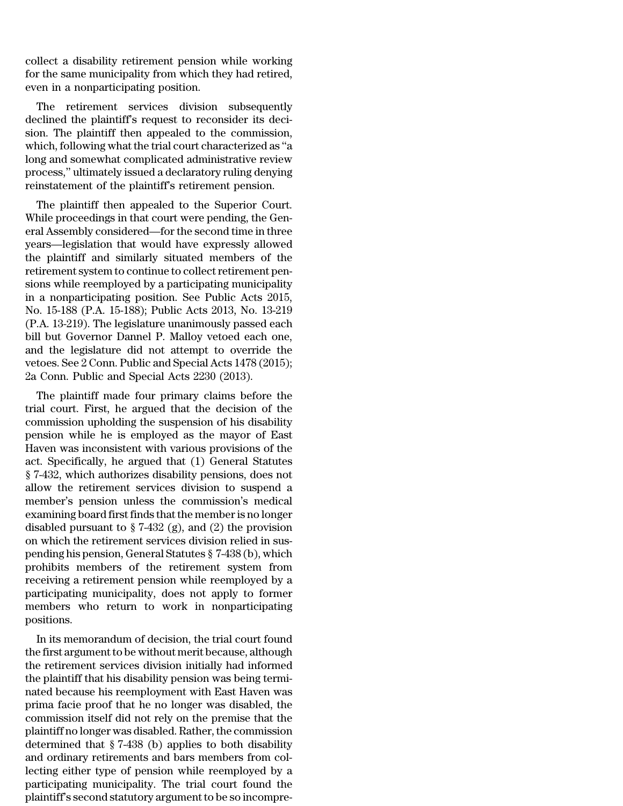collect a disability retirement pension while working for the same municipality from which they had retired, even in a nonparticipating position.

The retirement services division subsequently declined the plaintiff's request to reconsider its decision. The plaintiff then appealed to the commission, which, following what the trial court characterized as ''a long and somewhat complicated administrative review process,'' ultimately issued a declaratory ruling denying reinstatement of the plaintiff's retirement pension.

The plaintiff then appealed to the Superior Court. While proceedings in that court were pending, the General Assembly considered—for the second time in three years—legislation that would have expressly allowed the plaintiff and similarly situated members of the retirement system to continue to collect retirement pensions while reemployed by a participating municipality in a nonparticipating position. See Public Acts 2015, No. 15-188 (P.A. 15-188); Public Acts 2013, No. 13-219 (P.A. 13-219). The legislature unanimously passed each bill but Governor Dannel P. Malloy vetoed each one, and the legislature did not attempt to override the vetoes. See 2 Conn. Public and Special Acts 1478 (2015); 2a Conn. Public and Special Acts 2230 (2013).

The plaintiff made four primary claims before the trial court. First, he argued that the decision of the commission upholding the suspension of his disability pension while he is employed as the mayor of East Haven was inconsistent with various provisions of the act. Specifically, he argued that (1) General Statutes § 7-432, which authorizes disability pensions, does not allow the retirement services division to suspend a member's pension unless the commission's medical examining board first finds that the member is no longer disabled pursuant to  $\S 7-432$  (g), and (2) the provision on which the retirement services division relied in suspending his pension, General Statutes § 7-438 (b), which prohibits members of the retirement system from receiving a retirement pension while reemployed by a participating municipality, does not apply to former members who return to work in nonparticipating positions.

In its memorandum of decision, the trial court found the first argument to be without merit because, although the retirement services division initially had informed the plaintiff that his disability pension was being terminated because his reemployment with East Haven was prima facie proof that he no longer was disabled, the commission itself did not rely on the premise that the plaintiff no longer was disabled.Rather, the commission determined that § 7-438 (b) applies to both disability and ordinary retirements and bars members from collecting either type of pension while reemployed by a participating municipality. The trial court found the plaintiff's second statutory argument to be so incompre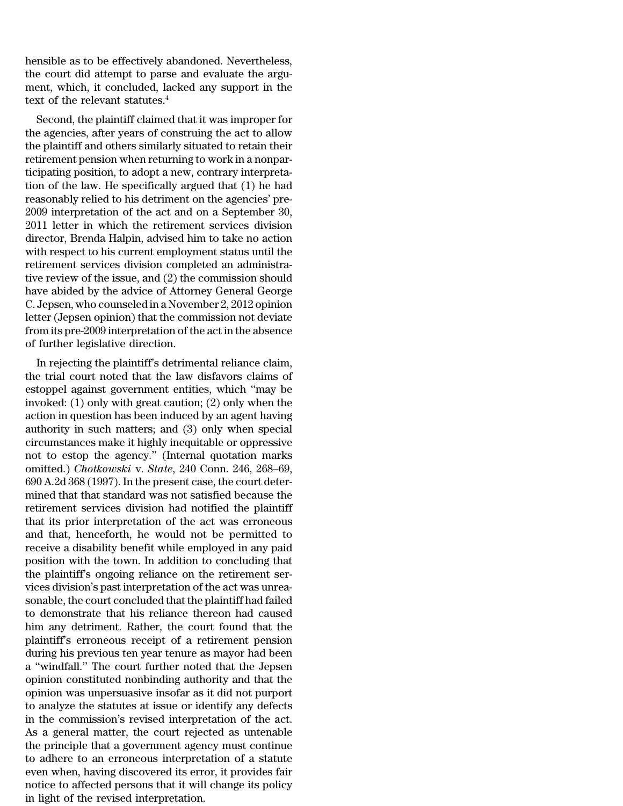hensible as to be effectively abandoned. Nevertheless, the court did attempt to parse and evaluate the argument, which, it concluded, lacked any support in the text of the relevant statutes.<sup>4</sup>

Second, the plaintiff claimed that it was improper for the agencies, after years of construing the act to allow the plaintiff and others similarly situated to retain their retirement pension when returning to work in a nonparticipating position, to adopt a new, contrary interpretation of the law. He specifically argued that (1) he had reasonably relied to his detriment on the agencies' pre-2009 interpretation of the act and on a September 30, 2011 letter in which the retirement services division director, Brenda Halpin, advised him to take no action with respect to his current employment status until the retirement services division completed an administrative review of the issue, and (2) the commission should have abided by the advice of Attorney General George C. Jepsen, who counseled in a November 2, 2012 opinion letter (Jepsen opinion) that the commission not deviate from its pre-2009 interpretation of the act in the absence of further legislative direction.

In rejecting the plaintiff's detrimental reliance claim, the trial court noted that the law disfavors claims of estoppel against government entities, which ''may be invoked: (1) only with great caution; (2) only when the action in question has been induced by an agent having authority in such matters; and (3) only when special circumstances make it highly inequitable or oppressive not to estop the agency.'' (Internal quotation marks omitted.) *Chotkowski* v. *State*, 240 Conn. 246, 268–69, 690 A.2d 368 (1997). In the present case, the court determined that that standard was not satisfied because the retirement services division had notified the plaintiff that its prior interpretation of the act was erroneous and that, henceforth, he would not be permitted to receive a disability benefit while employed in any paid position with the town. In addition to concluding that the plaintiff's ongoing reliance on the retirement services division's past interpretation of the act was unreasonable, the court concluded that the plaintiff had failed to demonstrate that his reliance thereon had caused him any detriment. Rather, the court found that the plaintiff's erroneous receipt of a retirement pension during his previous ten year tenure as mayor had been a ''windfall.'' The court further noted that the Jepsen opinion constituted nonbinding authority and that the opinion was unpersuasive insofar as it did not purport to analyze the statutes at issue or identify any defects in the commission's revised interpretation of the act. As a general matter, the court rejected as untenable the principle that a government agency must continue to adhere to an erroneous interpretation of a statute even when, having discovered its error, it provides fair notice to affected persons that it will change its policy in light of the revised interpretation.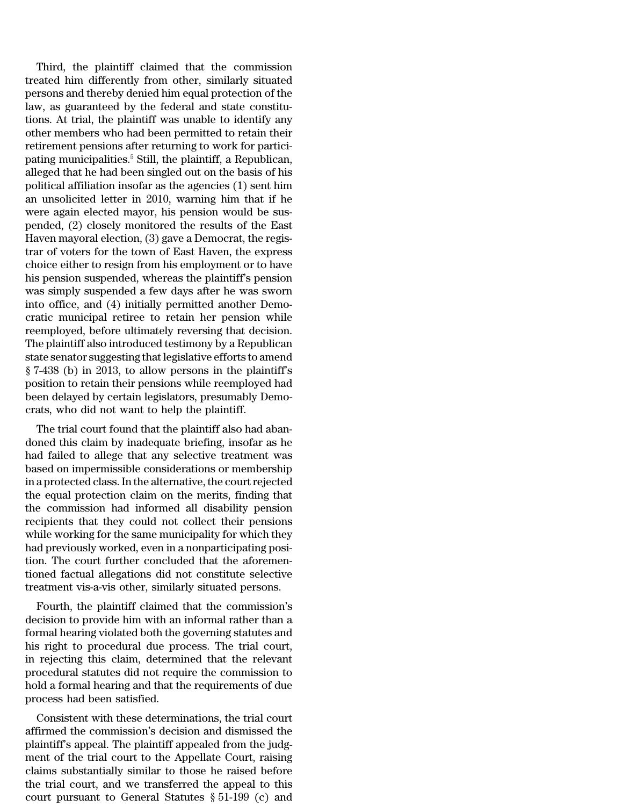Third, the plaintiff claimed that the commission treated him differently from other, similarly situated persons and thereby denied him equal protection of the law, as guaranteed by the federal and state constitutions. At trial, the plaintiff was unable to identify any other members who had been permitted to retain their retirement pensions after returning to work for participating municipalities.<sup>5</sup> Still, the plaintiff, a Republican, alleged that he had been singled out on the basis of his political affiliation insofar as the agencies (1) sent him an unsolicited letter in 2010, warning him that if he were again elected mayor, his pension would be suspended, (2) closely monitored the results of the East Haven mayoral election, (3) gave a Democrat, the registrar of voters for the town of East Haven, the express choice either to resign from his employment or to have his pension suspended, whereas the plaintiff's pension was simply suspended a few days after he was sworn into office, and (4) initially permitted another Democratic municipal retiree to retain her pension while reemployed, before ultimately reversing that decision. The plaintiff also introduced testimony by a Republican state senator suggesting thatlegislative efforts to amend § 7-438 (b) in 2013, to allow persons in the plaintiff's position to retain their pensions while reemployed had been delayed by certain legislators, presumably Democrats, who did not want to help the plaintiff.

The trial court found that the plaintiff also had abandoned this claim by inadequate briefing, insofar as he had failed to allege that any selective treatment was based on impermissible considerations or membership in a protected class. In the alternative, the court rejected the equal protection claim on the merits, finding that the commission had informed all disability pension recipients that they could not collect their pensions while working for the same municipality for which they had previously worked, even in a nonparticipating position. The court further concluded that the aforementioned factual allegations did not constitute selective treatment vis-a-vis other, similarly situated persons.

Fourth, the plaintiff claimed that the commission's decision to provide him with an informal rather than a formal hearing violated both the governing statutes and his right to procedural due process. The trial court, in rejecting this claim, determined that the relevant procedural statutes did not require the commission to hold a formal hearing and that the requirements of due process had been satisfied.

Consistent with these determinations, the trial court affirmed the commission's decision and dismissed the plaintiff's appeal. The plaintiff appealed from the judgment of the trial court to the Appellate Court, raising claims substantially similar to those he raised before the trial court, and we transferred the appeal to this court pursuant to General Statutes § 51-199 (c) and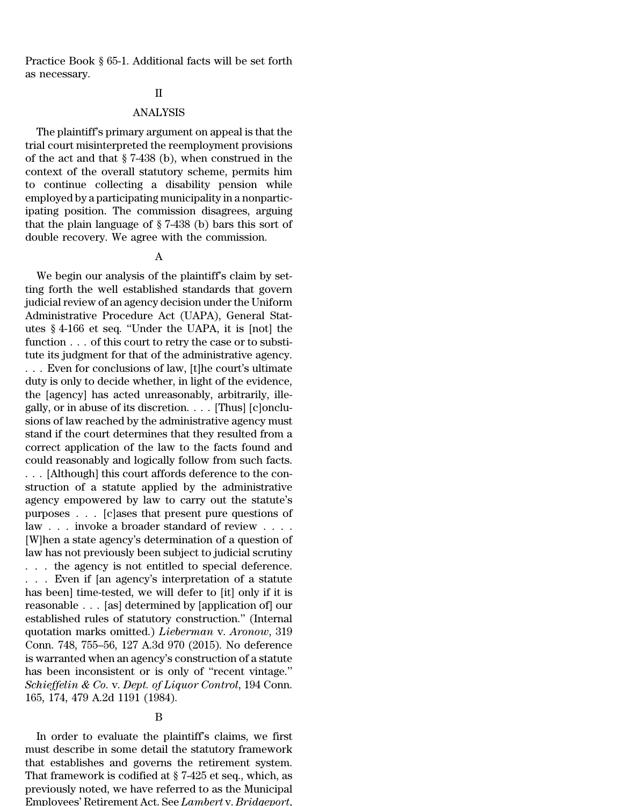Practice Book § 65-1. Additional facts will be set forth as necessary.

### II

## ANALYSIS

The plaintiff's primary argument on appeal is that the trial court misinterpreted the reemployment provisions of the act and that § 7-438 (b), when construed in the context of the overall statutory scheme, permits him to continue collecting a disability pension while employed by a participating municipality in a nonparticipating position. The commission disagrees, arguing that the plain language of § 7-438 (b) bars this sort of double recovery. We agree with the commission.

## A

We begin our analysis of the plaintiff's claim by setting forth the well established standards that govern judicial review of an agency decision under the Uniform Administrative Procedure Act (UAPA), General Statutes § 4-166 et seq. ''Under the UAPA, it is [not] the function . . . of this court to retry the case or to substitute its judgment for that of the administrative agency. . . . Even for conclusions of law, [t]he court's ultimate duty is only to decide whether, in light of the evidence, the [agency] has acted unreasonably, arbitrarily, illegally, or in abuse of its discretion. . . . [Thus] [c]onclusions of law reached by the administrative agency must stand if the court determines that they resulted from a correct application of the law to the facts found and could reasonably and logically follow from such facts. . . . [Although] this court affords deference to the construction of a statute applied by the administrative agency empowered by law to carry out the statute's purposes . . . [c]ases that present pure questions of law . . . invoke a broader standard of review . . . . [W]hen a state agency's determination of a question of law has not previously been subject to judicial scrutiny . . . the agency is not entitled to special deference. . . . Even if [an agency's interpretation of a statute has been] time-tested, we will defer to [it] only if it is reasonable . . . [as] determined by [application of] our established rules of statutory construction.'' (Internal quotation marks omitted.) *Lieberman* v. *Aronow*, 319 Conn. 748, 755–56, 127 A.3d 970 (2015). No deference is warranted when an agency's construction of a statute has been inconsistent or is only of ''recent vintage.'' *Schieffelin & Co.* v. *Dept. of Liquor Control*, 194 Conn. 165, 174, 479 A.2d 1191 (1984).

## B

In order to evaluate the plaintiff's claims, we first must describe in some detail the statutory framework that establishes and governs the retirement system. That framework is codified at § 7-425 et seq., which, as previously noted, we have referred to as the Municipal Employees' Retirement Act. See *Lambert* v. *Bridgeport*,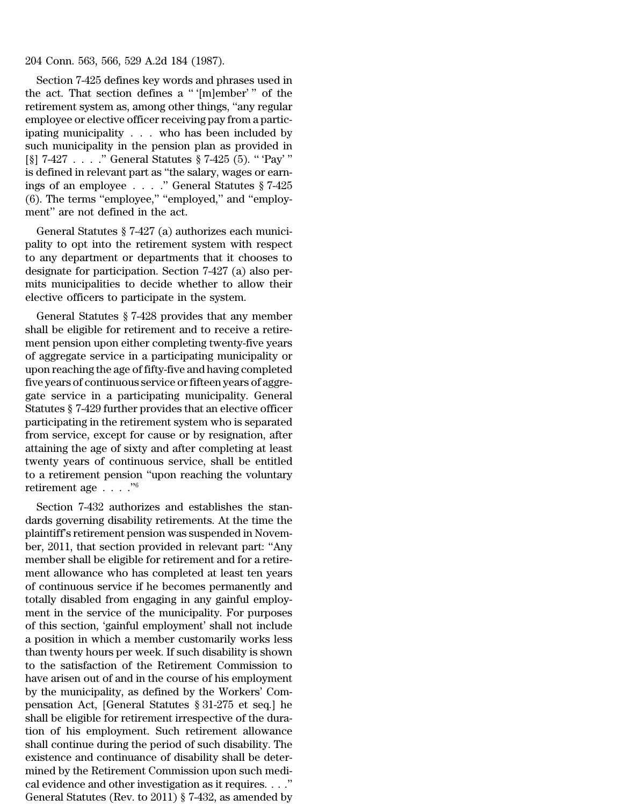204 Conn. 563, 566, 529 A.2d 184 (1987).

Section 7-425 defines key words and phrases used in the act. That section defines a '' '[m]ember' '' of the retirement system as, among other things, ''any regular employee or elective officer receiving pay from a participating municipality . . . who has been included by such municipality in the pension plan as provided in [§] 7-427 . . . .'' General Statutes § 7-425 (5). '' 'Pay' '' is defined in relevant part as ''the salary, wages or earnings of an employee . . . .'' General Statutes § 7-425 (6). The terms ''employee,'' ''employed,'' and ''employment'' are not defined in the act.

General Statutes § 7-427 (a) authorizes each municipality to opt into the retirement system with respect to any department or departments that it chooses to designate for participation. Section 7-427 (a) also permits municipalities to decide whether to allow their elective officers to participate in the system.

General Statutes § 7-428 provides that any member shall be eligible for retirement and to receive a retirement pension upon either completing twenty-five years of aggregate service in a participating municipality or upon reaching the age of fifty-five and having completed five years of continuous service or fifteen years of aggregate service in a participating municipality. General Statutes § 7-429 further provides that an elective officer participating in the retirement system who is separated from service, except for cause or by resignation, after attaining the age of sixty and after completing at least twenty years of continuous service, shall be entitled to a retirement pension ''upon reaching the voluntary retirement age . . . .''<sup>6</sup>

Section 7-432 authorizes and establishes the standards governing disability retirements. At the time the plaintiff's retirement pension was suspended in November, 2011, that section provided in relevant part: ''Any member shall be eligible for retirement and for a retirement allowance who has completed at least ten years of continuous service if he becomes permanently and totally disabled from engaging in any gainful employment in the service of the municipality. For purposes of this section, 'gainful employment' shall not include a position in which a member customarily works less than twenty hours per week. If such disability is shown to the satisfaction of the Retirement Commission to have arisen out of and in the course of his employment by the municipality, as defined by the Workers' Compensation Act, [General Statutes § 31-275 et seq.] he shall be eligible for retirement irrespective of the duration of his employment. Such retirement allowance shall continue during the period of such disability. The existence and continuance of disability shall be determined by the Retirement Commission upon such medical evidence and other investigation as it requires. . . .'' General Statutes (Rev. to 2011) § 7-432, as amended by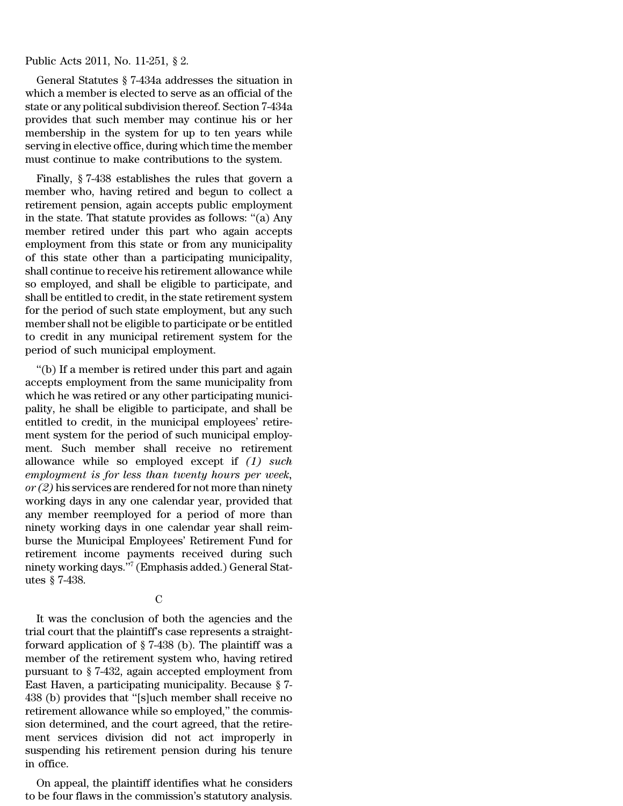### Public Acts 2011, No. 11-251, § 2.

General Statutes § 7-434a addresses the situation in which a member is elected to serve as an official of the state or any political subdivision thereof. Section 7-434a provides that such member may continue his or her membership in the system for up to ten years while serving in elective office, during which time the member must continue to make contributions to the system.

Finally, § 7-438 establishes the rules that govern a member who, having retired and begun to collect a retirement pension, again accepts public employment in the state. That statute provides as follows: ''(a) Any member retired under this part who again accepts employment from this state or from any municipality of this state other than a participating municipality, shall continue to receive his retirement allowance while so employed, and shall be eligible to participate, and shall be entitled to credit, in the state retirement system for the period of such state employment, but any such member shall not be eligible to participate or be entitled to credit in any municipal retirement system for the period of such municipal employment.

''(b) If a member is retired under this part and again accepts employment from the same municipality from which he was retired or any other participating municipality, he shall be eligible to participate, and shall be entitled to credit, in the municipal employees' retirement system for the period of such municipal employment. Such member shall receive no retirement allowance while so employed except if *(1) such employment is for less than twenty hours per week, or (2)* his services are rendered for not more than ninety working days in any one calendar year, provided that any member reemployed for a period of more than ninety working days in one calendar year shall reimburse the Municipal Employees' Retirement Fund for retirement income payments received during such ninety working days.''<sup>7</sup> (Emphasis added.) General Statutes § 7-438.

 $\overline{C}$ 

It was the conclusion of both the agencies and the trial court that the plaintiff's case represents a straightforward application of § 7-438 (b). The plaintiff was a member of the retirement system who, having retired pursuant to § 7-432, again accepted employment from East Haven, a participating municipality. Because § 7- 438 (b) provides that ''[s]uch member shall receive no retirement allowance while so employed,'' the commission determined, and the court agreed, that the retirement services division did not act improperly in suspending his retirement pension during his tenure in office.

On appeal, the plaintiff identifies what he considers to be four flaws in the commission's statutory analysis.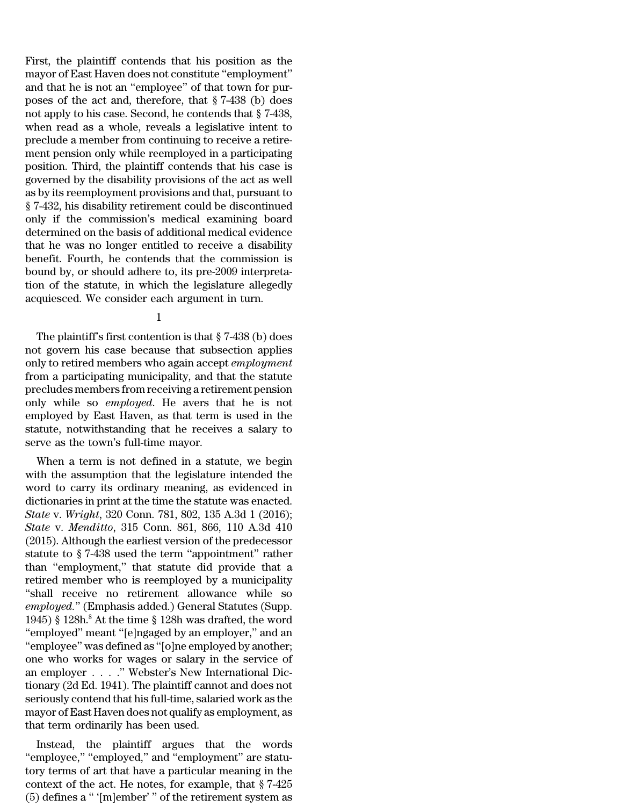First, the plaintiff contends that his position as the mayor of East Haven does not constitute ''employment'' and that he is not an ''employee'' of that town for purposes of the act and, therefore, that § 7-438 (b) does not apply to his case. Second, he contends that § 7-438, when read as a whole, reveals a legislative intent to preclude a member from continuing to receive a retirement pension only while reemployed in a participating position. Third, the plaintiff contends that his case is governed by the disability provisions of the act as well as by its reemployment provisions and that, pursuant to § 7-432, his disability retirement could be discontinued only if the commission's medical examining board determined on the basis of additional medical evidence that he was no longer entitled to receive a disability benefit. Fourth, he contends that the commission is bound by, or should adhere to, its pre-2009 interpretation of the statute, in which the legislature allegedly acquiesced. We consider each argument in turn.

# 1

The plaintiff's first contention is that § 7-438 (b) does not govern his case because that subsection applies only to retired members who again accept *employment* from a participating municipality, and that the statute precludes members from receiving a retirement pension only while so *employed*. He avers that he is not employed by East Haven, as that term is used in the statute, notwithstanding that he receives a salary to serve as the town's full-time mayor.

When a term is not defined in a statute, we begin with the assumption that the legislature intended the word to carry its ordinary meaning, as evidenced in dictionaries in print at the time the statute was enacted. *State* v. *Wright*, 320 Conn. 781, 802, 135 A.3d 1 (2016); *State* v. *Menditto*, 315 Conn. 861, 866, 110 A.3d 410 (2015). Although the earliest version of the predecessor statute to § 7-438 used the term ''appointment'' rather than ''employment,'' that statute did provide that a retired member who is reemployed by a municipality ''shall receive no retirement allowance while so *employed.*'' (Emphasis added.) General Statutes (Supp. 1945) § 128h.<sup>8</sup> At the time § 128h was drafted, the word "employed" meant "[e]ngaged by an employer," and an ''employee'' was defined as ''[o]ne employed by another; one who works for wages or salary in the service of an employer . . . .'' Webster's New International Dictionary (2d Ed. 1941). The plaintiff cannot and does not seriously contend that his full-time, salaried work as the mayor of East Haven does not qualify as employment, as that term ordinarily has been used.

Instead, the plaintiff argues that the words ''employee,'' ''employed,'' and ''employment'' are statutory terms of art that have a particular meaning in the context of the act. He notes, for example, that § 7-425 (5) defines a '' '[m]ember' '' of the retirement system as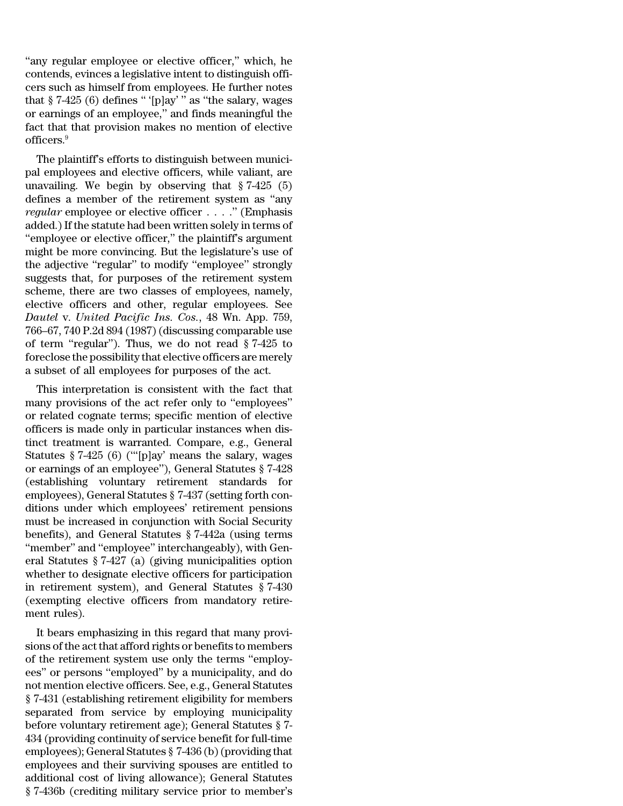"any regular employee or elective officer," which, he contends, evinces a legislative intent to distinguish officers such as himself from employees. He further notes that  $§ 7-425(6)$  defines "'[p]ay'" as "the salary, wages or earnings of an employee,'' and finds meaningful the fact that that provision makes no mention of elective officers.<sup>9</sup>

The plaintiff's efforts to distinguish between municipal employees and elective officers, while valiant, are unavailing. We begin by observing that  $\S 7-425$  (5) defines a member of the retirement system as ''any *regular* employee or elective officer . . . .'' (Emphasis added.) If the statute had been written solely in terms of ''employee or elective officer,'' the plaintiff's argument might be more convincing. But the legislature's use of the adjective ''regular'' to modify ''employee'' strongly suggests that, for purposes of the retirement system scheme, there are two classes of employees, namely, elective officers and other, regular employees. See *Dautel* v. *United Pacific Ins. Cos.*, 48 Wn. App. 759, 766–67, 740 P.2d 894 (1987) (discussing comparable use of term "regular"). Thus, we do not read  $\S 7-425$  to foreclose the possibility that elective officers are merely a subset of all employees for purposes of the act.

This interpretation is consistent with the fact that many provisions of the act refer only to ''employees'' or related cognate terms; specific mention of elective officers is made only in particular instances when distinct treatment is warranted. Compare, e.g., General Statutes § 7-425 (6) ('''[p]ay' means the salary, wages or earnings of an employee''), General Statutes § 7-428 (establishing voluntary retirement standards for employees), General Statutes § 7-437 (setting forth conditions under which employees' retirement pensions must be increased in conjunction with Social Security benefits), and General Statutes § 7-442a (using terms "member" and "employee" interchangeably), with General Statutes § 7-427 (a) (giving municipalities option whether to designate elective officers for participation in retirement system), and General Statutes § 7-430 (exempting elective officers from mandatory retirement rules).

It bears emphasizing in this regard that many provisions of the act that afford rights or benefits to members of the retirement system use only the terms ''employees'' or persons ''employed'' by a municipality, and do not mention elective officers. See, e.g., General Statutes § 7-431 (establishing retirement eligibility for members separated from service by employing municipality before voluntary retirement age); General Statutes § 7- 434 (providing continuity of service benefit for full-time employees); General Statutes § 7-436 (b)(providing that employees and their surviving spouses are entitled to additional cost of living allowance); General Statutes § 7-436b (crediting military service prior to member's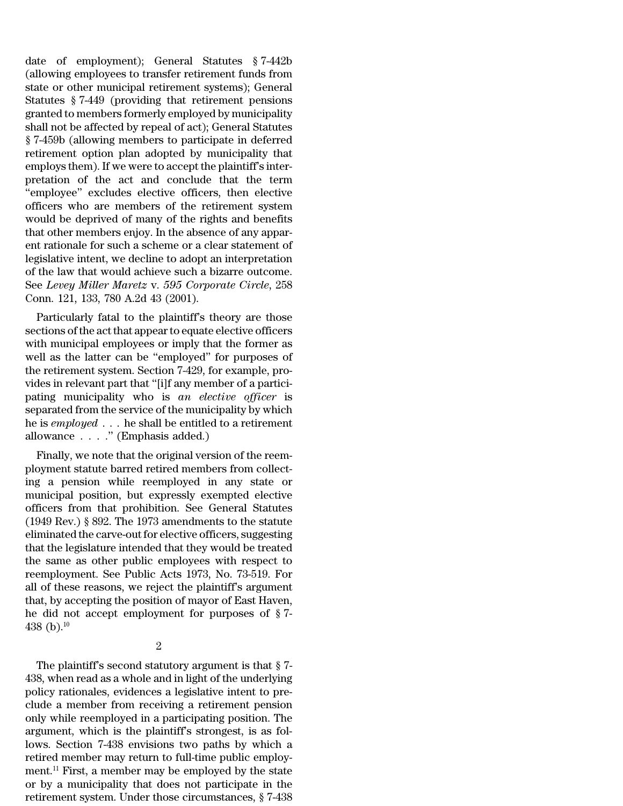date of employment); General Statutes § 7-442b (allowing employees to transfer retirement funds from state or other municipal retirement systems); General Statutes § 7-449 (providing that retirement pensions granted to members formerly employed by municipality shall not be affected by repeal of act); General Statutes § 7-459b (allowing members to participate in deferred retirement option plan adopted by municipality that employs them). If we were to accept the plaintiff's interpretation of the act and conclude that the term ''employee'' excludes elective officers, then elective officers who are members of the retirement system would be deprived of many of the rights and benefits that other members enjoy. In the absence of any apparent rationale for such a scheme or a clear statement of legislative intent, we decline to adopt an interpretation of the law that would achieve such a bizarre outcome. See *Levey Miller Maretz* v. *595 Corporate Circle*, 258 Conn. 121, 133, 780 A.2d 43 (2001).

Particularly fatal to the plaintiff's theory are those sections of the act that appearto equate elective officers with municipal employees or imply that the former as well as the latter can be ''employed'' for purposes of the retirement system. Section 7-429, for example, provides in relevant part that ''[i]f any member of a participating municipality who is *an elective officer* is separated from the service of the municipality by which he is *employed* . . . he shall be entitled to a retirement allowance . . . .'' (Emphasis added.)

Finally, we note that the original version of the reemployment statute barred retired members from collecting a pension while reemployed in any state or municipal position, but expressly exempted elective officers from that prohibition. See General Statutes (1949 Rev.) § 892. The 1973 amendments to the statute eliminated the carve-outfor elective officers, suggesting that the legislature intended that they would be treated the same as other public employees with respect to reemployment. See Public Acts 1973, No. 73-519. For all of these reasons, we reject the plaintiff's argument that, by accepting the position of mayor of East Haven, he did not accept employment for purposes of § 7- 438 (b).<sup>10</sup>

### 2

The plaintiff's second statutory argument is that § 7- 438, when read as a whole and in light of the underlying policy rationales, evidences a legislative intent to preclude a member from receiving a retirement pension only while reemployed in a participating position. The argument, which is the plaintiff's strongest, is as follows. Section 7-438 envisions two paths by which a retired member may return to full-time public employment.<sup>11</sup> First, a member may be employed by the state or by a municipality that does not participate in the retirement system. Under those circumstances, § 7-438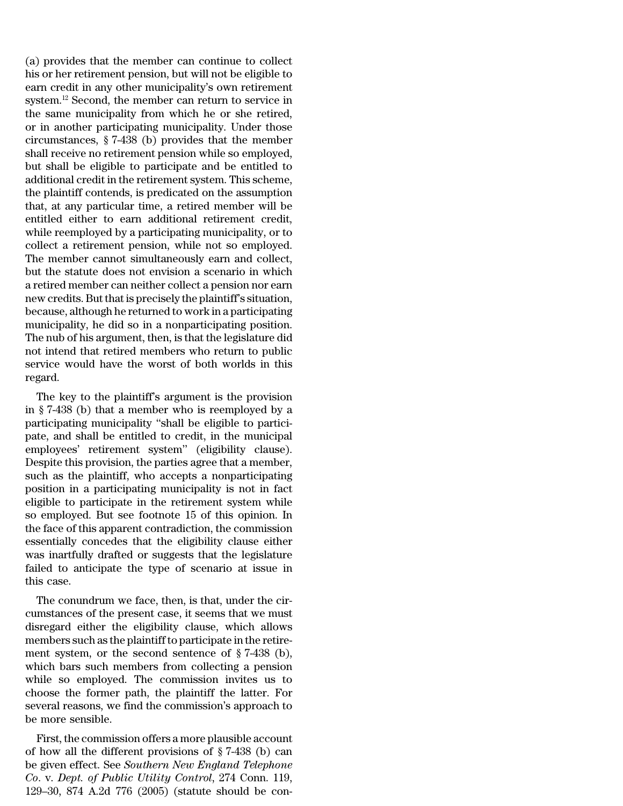(a) provides that the member can continue to collect his or her retirement pension, but will not be eligible to earn credit in any other municipality's own retirement system.<sup>12</sup> Second, the member can return to service in the same municipality from which he or she retired, or in another participating municipality. Under those circumstances, § 7-438 (b) provides that the member shall receive no retirement pension while so employed, but shall be eligible to participate and be entitled to additional credit in the retirement system. This scheme, the plaintiff contends, is predicated on the assumption that, at any particular time, a retired member will be entitled either to earn additional retirement credit, while reemployed by a participating municipality, or to collect a retirement pension, while not so employed. The member cannot simultaneously earn and collect, but the statute does not envision a scenario in which a retired member can neither collect a pension nor earn new credits. But that is precisely the plaintiff's situation, because, although he returned to work in a participating municipality, he did so in a nonparticipating position. The nub of his argument, then, is that the legislature did not intend that retired members who return to public service would have the worst of both worlds in this regard.

The key to the plaintiff's argument is the provision in § 7-438 (b) that a member who is reemployed by a participating municipality ''shall be eligible to participate, and shall be entitled to credit, in the municipal employees' retirement system'' (eligibility clause). Despite this provision, the parties agree that a member, such as the plaintiff, who accepts a nonparticipating position in a participating municipality is not in fact eligible to participate in the retirement system while so employed. But see footnote 15 of this opinion. In the face of this apparent contradiction, the commission essentially concedes that the eligibility clause either was inartfully drafted or suggests that the legislature failed to anticipate the type of scenario at issue in this case.

The conundrum we face, then, is that, under the circumstances of the present case, it seems that we must disregard either the eligibility clause, which allows members such as the plaintiff to participate in the retirement system, or the second sentence of § 7-438 (b), which bars such members from collecting a pension while so employed. The commission invites us to choose the former path, the plaintiff the latter. For several reasons, we find the commission's approach to be more sensible.

First, the commission offers a more plausible account of how all the different provisions of § 7-438 (b) can be given effect. See *Southern New England Telephone Co*. v. *Dept. of Public Utility Control*, 274 Conn. 119, 129–30, 874 A.2d 776 (2005) (statute should be con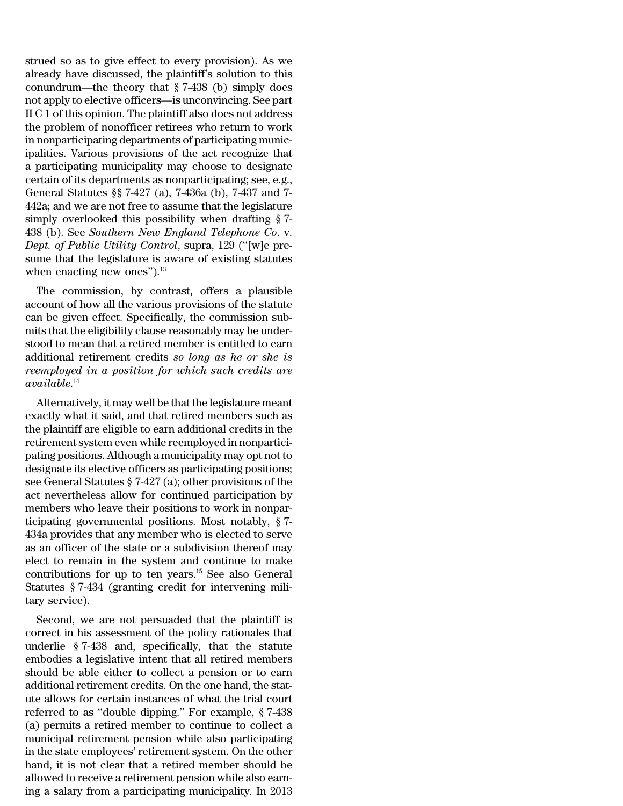strued so as to give effect to every provision). As we already have discussed, the plaintiff's solution to this conundrum—the theory that § 7-438 (b) simply does not apply to elective officers—is unconvincing. See part II C 1 of this opinion. The plaintiff also does not address the problem of nonofficer retirees who return to work in nonparticipating departments of participating municipalities. Various provisions of the act recognize that a participating municipality may choose to designate certain of its departments as nonparticipating; see, e.g., General Statutes §§ 7-427 (a), 7-436a (b), 7-437 and 7- 442a; and we are not free to assume that the legislature simply overlooked this possibility when drafting § 7- 438 (b). See *Southern New England Telephone Co*. v. *Dept. of Public Utility Control*, supra, 129 (''[w]e presume that the legislature is aware of existing statutes when enacting new ones").<sup>13</sup>

The commission, by contrast, offers a plausible account of how all the various provisions of the statute can be given effect. Specifically, the commission submits that the eligibility clause reasonably may be understood to mean that a retired member is entitled to earn additional retirement credits *so long as he or she is reemployed in a position for which such credits are available*. 14

Alternatively, it may well be that the legislature meant exactly what it said, and that retired members such as the plaintiff are eligible to earn additional credits in the retirement system even while reemployed in nonparticipating positions. Although a municipality may opt not to designate its elective officers as participating positions; see General Statutes § 7-427 (a); other provisions of the act nevertheless allow for continued participation by members who leave their positions to work in nonparticipating governmental positions. Most notably, § 7- 434a provides that any member who is elected to serve as an officer of the state or a subdivision thereof may elect to remain in the system and continue to make contributions for up to ten years.<sup>15</sup> See also General Statutes § 7-434 (granting credit for intervening military service).

Second, we are not persuaded that the plaintiff is correct in his assessment of the policy rationales that underlie § 7-438 and, specifically, that the statute embodies a legislative intent that all retired members should be able either to collect a pension or to earn additional retirement credits. On the one hand, the statute allows for certain instances of what the trial court referred to as ''double dipping.'' For example, § 7-438 (a) permits a retired member to continue to collect a municipal retirement pension while also participating in the state employees' retirement system. On the other hand, it is not clear that a retired member should be allowed to receive a retirement pension while also earning a salary from a participating municipality. In 2013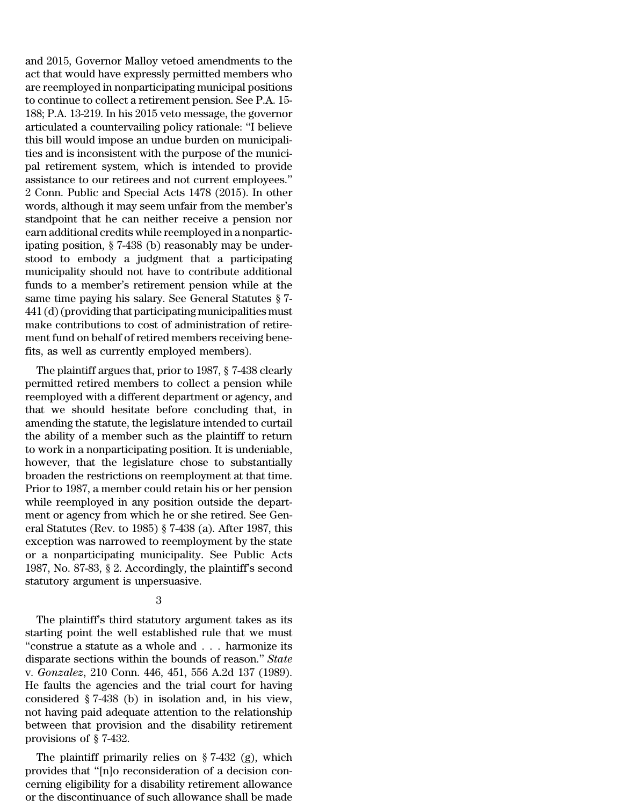and 2015, Governor Malloy vetoed amendments to the act that would have expressly permitted members who are reemployed in nonparticipating municipal positions to continue to collect a retirement pension. See P.A. 15- 188; P.A. 13-219. In his 2015 veto message, the governor articulated a countervailing policy rationale: ''I believe this bill would impose an undue burden on municipalities and is inconsistent with the purpose of the municipal retirement system, which is intended to provide assistance to our retirees and not current employees.'' 2 Conn. Public and Special Acts 1478 (2015). In other words, although it may seem unfair from the member's standpoint that he can neither receive a pension nor earn additional credits while reemployed in a nonparticipating position, § 7-438 (b) reasonably may be understood to embody a judgment that a participating municipality should not have to contribute additional funds to a member's retirement pension while at the same time paying his salary. See General Statutes § 7- 441 (d)(providing that participating municipalities must make contributions to cost of administration of retirement fund on behalf of retired members receiving benefits, as well as currently employed members).

The plaintiff argues that, prior to 1987, § 7-438 clearly permitted retired members to collect a pension while reemployed with a different department or agency, and that we should hesitate before concluding that, in amending the statute, the legislature intended to curtail the ability of a member such as the plaintiff to return to work in a nonparticipating position. It is undeniable, however, that the legislature chose to substantially broaden the restrictions on reemployment at that time. Prior to 1987, a member could retain his or her pension while reemployed in any position outside the department or agency from which he or she retired. See General Statutes (Rev. to 1985) § 7-438 (a). After 1987, this exception was narrowed to reemployment by the state or a nonparticipating municipality. See Public Acts 1987, No. 87-83, § 2. Accordingly, the plaintiff's second statutory argument is unpersuasive.

3

The plaintiff's third statutory argument takes as its starting point the well established rule that we must ''construe a statute as a whole and . . . harmonize its disparate sections within the bounds of reason.'' *State* v. *Gonzalez*, 210 Conn. 446, 451, 556 A.2d 137 (1989). He faults the agencies and the trial court for having considered § 7-438 (b) in isolation and, in his view, not having paid adequate attention to the relationship between that provision and the disability retirement provisions of § 7-432.

The plaintiff primarily relies on § 7-432 (g), which provides that ''[n]o reconsideration of a decision concerning eligibility for a disability retirement allowance or the discontinuance of such allowance shall be made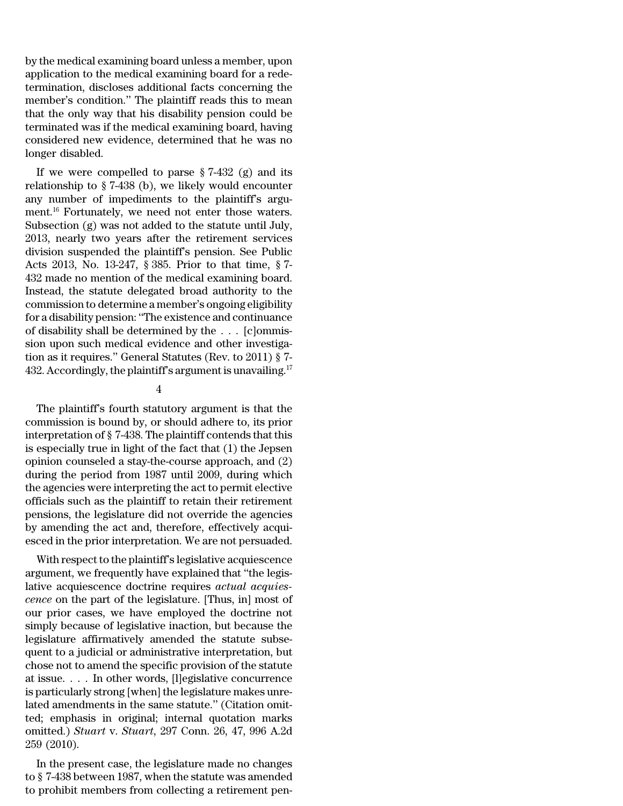by the medical examining board unless a member, upon application to the medical examining board for a redetermination, discloses additional facts concerning the member's condition.'' The plaintiff reads this to mean that the only way that his disability pension could be terminated was if the medical examining board, having considered new evidence, determined that he was no longer disabled.

If we were compelled to parse  $\S 7-432$  (g) and its relationship to § 7-438 (b), we likely would encounter any number of impediments to the plaintiff's argument.<sup>16</sup> Fortunately, we need not enter those waters. Subsection (g) was not added to the statute until July, 2013, nearly two years after the retirement services division suspended the plaintiff's pension. See Public Acts 2013, No. 13-247, § 385. Prior to that time, § 7- 432 made no mention of the medical examining board. Instead, the statute delegated broad authority to the commission to determine a member's ongoing eligibility for a disability pension: ''The existence and continuance of disability shall be determined by the . . . [c]ommission upon such medical evidence and other investigation as it requires.'' General Statutes (Rev. to 2011) § 7- 432. Accordingly, the plaintiff's argument is unavailing.<sup>17</sup>

# 4

The plaintiff's fourth statutory argument is that the commission is bound by, or should adhere to, its prior interpretation of § 7-438. The plaintiff contends that this is especially true in light of the fact that (1) the Jepsen opinion counseled a stay-the-course approach, and (2) during the period from 1987 until 2009, during which the agencies were interpreting the act to permit elective officials such as the plaintiff to retain their retirement pensions, the legislature did not override the agencies by amending the act and, therefore, effectively acquiesced in the prior interpretation. We are not persuaded.

With respect to the plaintiff's legislative acquiescence argument, we frequently have explained that ''the legislative acquiescence doctrine requires *actual acquiescence* on the part of the legislature. [Thus, in] most of our prior cases, we have employed the doctrine not simply because of legislative inaction, but because the legislature affirmatively amended the statute subsequent to a judicial or administrative interpretation, but chose not to amend the specific provision of the statute at issue. . . . In other words, [l]egislative concurrence is particularly strong [when] the legislature makes unrelated amendments in the same statute.'' (Citation omitted; emphasis in original; internal quotation marks omitted.) *Stuart* v. *Stuart*, 297 Conn. 26, 47, 996 A.2d 259 (2010).

In the present case, the legislature made no changes to § 7-438 between 1987, when the statute was amended to prohibit members from collecting a retirement pen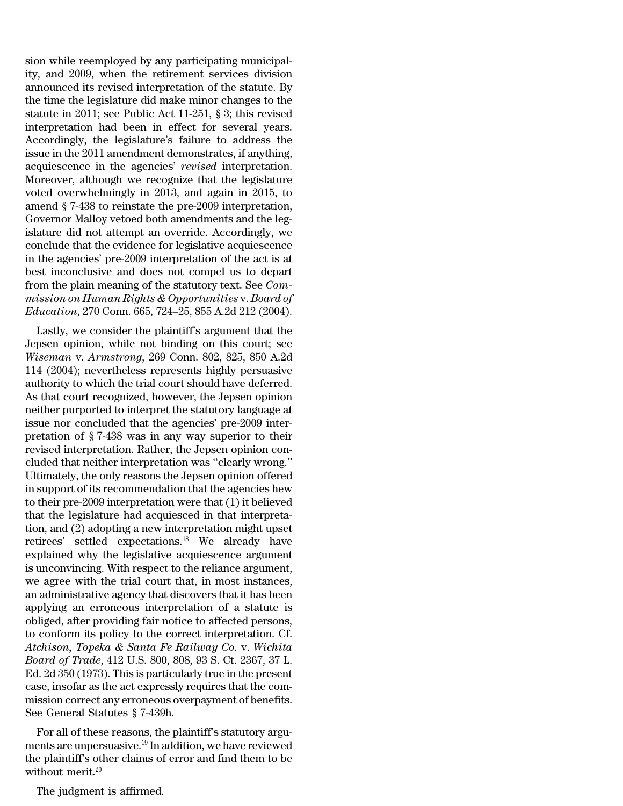sion while reemployed by any participating municipality, and 2009, when the retirement services division announced its revised interpretation of the statute. By the time the legislature did make minor changes to the statute in 2011; see Public Act 11-251, § 3; this revised interpretation had been in effect for several years. Accordingly, the legislature's failure to address the issue in the 2011 amendment demonstrates, if anything, acquiescence in the agencies' *revised* interpretation. Moreover, although we recognize that the legislature voted overwhelmingly in 2013, and again in 2015, to amend § 7-438 to reinstate the pre-2009 interpretation, Governor Malloy vetoed both amendments and the legislature did not attempt an override. Accordingly, we conclude that the evidence for legislative acquiescence in the agencies' pre-2009 interpretation of the act is at best inconclusive and does not compel us to depart from the plain meaning of the statutory text. See *Commission on Human Rights & Opportunities* v. *Board of Education*, 270 Conn. 665, 724–25, 855 A.2d 212 (2004).

Lastly, we consider the plaintiff's argument that the Jepsen opinion, while not binding on this court; see *Wiseman* v. *Armstrong*, 269 Conn. 802, 825, 850 A.2d 114 (2004); nevertheless represents highly persuasive authority to which the trial court should have deferred. As that court recognized, however, the Jepsen opinion neither purported to interpret the statutory language at issue nor concluded that the agencies' pre-2009 interpretation of § 7-438 was in any way superior to their revised interpretation. Rather, the Jepsen opinion concluded that neither interpretation was ''clearly wrong.'' Ultimately, the only reasons the Jepsen opinion offered in support of its recommendation that the agencies hew to their pre-2009 interpretation were that (1) it believed that the legislature had acquiesced in that interpretation, and (2) adopting a new interpretation might upset retirees' settled expectations.<sup>18</sup> We already have explained why the legislative acquiescence argument is unconvincing. With respect to the reliance argument, we agree with the trial court that, in most instances, an administrative agency that discovers that it has been applying an erroneous interpretation of a statute is obliged, after providing fair notice to affected persons, to conform its policy to the correct interpretation. Cf. *Atchison, Topeka & Santa Fe Railway Co.* v. *Wichita Board of Trade*, 412 U.S. 800, 808, 93 S. Ct. 2367, 37 L. Ed. 2d 350 (1973). This is particularly true in the present case, insofar as the act expressly requires that the commission correct any erroneous overpayment of benefits. See General Statutes § 7-439h.

For all of these reasons, the plaintiff's statutory arguments are unpersuasive.<sup>19</sup> In addition, we have reviewed the plaintiff's other claims of error and find them to be without merit.<sup>20</sup>

The judgment is affirmed.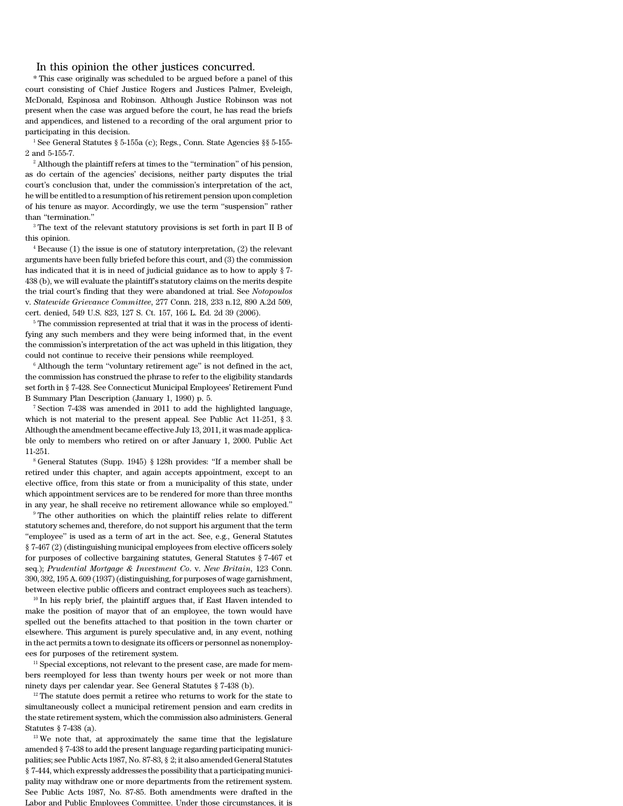#### In this opinion the other justices concurred.

\* This case originally was scheduled to be argued before a panel of this court consisting of Chief Justice Rogers and Justices Palmer, Eveleigh, McDonald, Espinosa and Robinson. Although Justice Robinson was not present when the case was argued before the court, he has read the briefs and appendices, and listened to a recording of the oral argument prior to participating in this decision.

<sup>1</sup> See General Statutes § 5-155a (c); Regs., Conn. State Agencies §§ 5-155-2 and 5-155-7.

 $2$  Although the plaintiff refers at times to the "termination" of his pension, as do certain of the agencies' decisions, neither party disputes the trial court's conclusion that, under the commission's interpretation of the act, he will be entitled to a resumption of his retirement pension upon completion of his tenure as mayor. Accordingly, we use the term ''suspension'' rather than ''termination.''

<sup>3</sup> The text of the relevant statutory provisions is set forth in part II B of this opinion.

 $4$  Because (1) the issue is one of statutory interpretation, (2) the relevant arguments have been fully briefed before this court, and (3) the commission has indicated that it is in need of judicial guidance as to how to apply § 7- 438 (b), we will evaluate the plaintiff's statutory claims on the merits despite the trial court's finding that they were abandoned at trial. See *Notopoulos* v. *Statewide Grievance Committee*, 277 Conn. 218, 233 n.12, 890 A.2d 509, cert. denied, 549 U.S. 823, 127 S. Ct. 157, 166 L. Ed. 2d 39 (2006).

<sup>5</sup> The commission represented at trial that it was in the process of identifying any such members and they were being informed that, in the event the commission's interpretation of the act was upheld in this litigation, they could not continue to receive their pensions while reemployed.

 $6$  Although the term "voluntary retirement age" is not defined in the act, the commission has construed the phrase to refer to the eligibility standards set forth in § 7-428. See Connecticut Municipal Employees' Retirement Fund B Summary Plan Description (January 1, 1990) p. 5.

<sup>7</sup> Section 7-438 was amended in 2011 to add the highlighted language, which is not material to the present appeal. See Public Act 11-251, § 3. Although the amendment became effective July 13, 2011, it was made applicable only to members who retired on or after January 1, 2000. Public Act 11-251.

<sup>8</sup> General Statutes (Supp. 1945) § 128h provides: ''If a member shall be retired under this chapter, and again accepts appointment, except to an elective office, from this state or from a municipality of this state, under which appointment services are to be rendered for more than three months in any year, he shall receive no retirement allowance while so employed.''

<sup>9</sup> The other authorities on which the plaintiff relies relate to different statutory schemes and, therefore, do not support his argument that the term ''employee'' is used as a term of art in the act. See, e.g., General Statutes § 7-467 (2) (distinguishing municipal employees from elective officers solely for purposes of collective bargaining statutes, General Statutes § 7-467 et seq.); *Prudential Mortgage & Investment Co*. v. *New Britain*, 123 Conn. 390, 392, 195 A. 609 (1937)(distinguishing,for purposes of wage garnishment, between elective public officers and contract employees such as teachers).

<sup>10</sup> In his reply brief, the plaintiff argues that, if East Haven intended to make the position of mayor that of an employee, the town would have spelled out the benefits attached to that position in the town charter or elsewhere. This argument is purely speculative and, in any event, nothing in the act permits a town to designate its officers or personnel as nonemployees for purposes of the retirement system.

<sup>11</sup> Special exceptions, not relevant to the present case, are made for members reemployed for less than twenty hours per week or not more than ninety days per calendar year. See General Statutes § 7-438 (b).

<sup>12</sup> The statute does permit a retiree who returns to work for the state to simultaneously collect a municipal retirement pension and earn credits in the state retirement system, which the commission also administers. General Statutes § 7-438 (a).

<sup>13</sup> We note that, at approximately the same time that the legislature amended § 7-438 to add the present language regarding participating municipalities; see Public Acts 1987, No. 87-83, § 2; it also amended General Statutes § 7-444, which expressly addresses the possibility that a participating municipality may withdraw one or more departments from the retirement system. See Public Acts 1987, No. 87-85. Both amendments were drafted in the Labor and Public Employees Committee. Under those circumstances, it is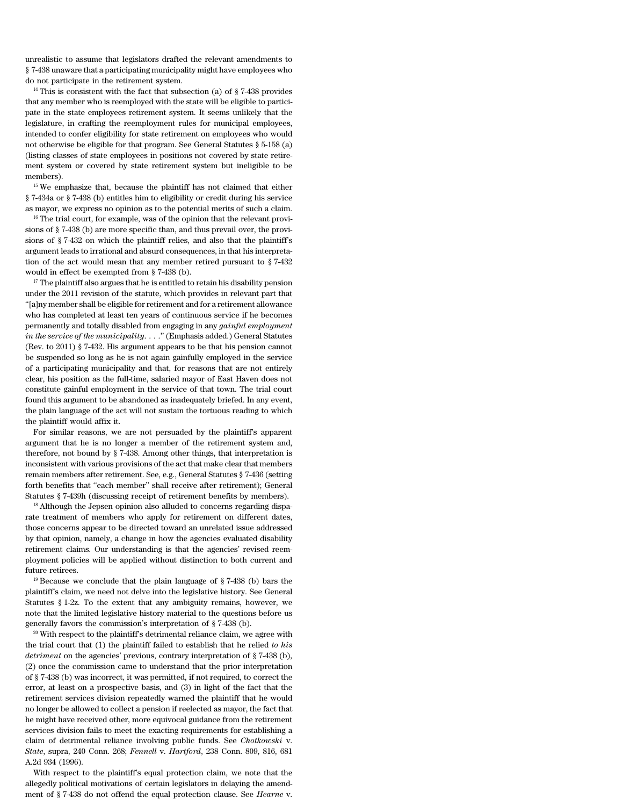unrealistic to assume that legislators drafted the relevant amendments to § 7-438 unaware that a participating municipality might have employees who do not participate in the retirement system.

<sup>14</sup> This is consistent with the fact that subsection (a) of  $\S 7-438$  provides that any member who is reemployed with the state will be eligible to participate in the state employees retirement system. It seems unlikely that the legislature, in crafting the reemployment rules for municipal employees, intended to confer eligibility for state retirement on employees who would not otherwise be eligible for that program. See General Statutes § 5-158 (a) (listing classes of state employees in positions not covered by state retirement system or covered by state retirement system but ineligible to be members).

<sup>15</sup> We emphasize that, because the plaintiff has not claimed that either § 7-434a or § 7-438 (b) entitles him to eligibility or credit during his service as mayor, we express no opinion as to the potential merits of such a claim.

<sup>16</sup> The trial court, for example, was of the opinion that the relevant provisions of § 7-438 (b) are more specific than, and thus prevail over, the provisions of § 7-432 on which the plaintiff relies, and also that the plaintiff's argument leads to irrational and absurd consequences, in that his interpretation of the act would mean that any member retired pursuant to § 7-432 would in effect be exempted from § 7-438 (b).

 $17$  The plaintiff also argues that he is entitled to retain his disability pension under the 2011 revision of the statute, which provides in relevant part that ''[a]ny member shall be eligible for retirement and for a retirement allowance who has completed at least ten years of continuous service if he becomes permanently and totally disabled from engaging in any *gainful employment in the service of the municipality*. . . .'' (Emphasis added.) General Statutes (Rev. to 2011) § 7-432. His argument appears to be that his pension cannot be suspended so long as he is not again gainfully employed in the service of a participating municipality and that, for reasons that are not entirely clear, his position as the full-time, salaried mayor of East Haven does not constitute gainful employment in the service of that town. The trial court found this argument to be abandoned as inadequately briefed. In any event, the plain language of the act will not sustain the tortuous reading to which the plaintiff would affix it.

For similar reasons, we are not persuaded by the plaintiff's apparent argument that he is no longer a member of the retirement system and, therefore, not bound by § 7-438. Among other things, that interpretation is inconsistent with various provisions of the act that make clear that members remain members after retirement. See, e.g., General Statutes § 7-436 (setting forth benefits that ''each member'' shall receive after retirement); General Statutes § 7-439h (discussing receipt of retirement benefits by members).

<sup>18</sup> Although the Jepsen opinion also alluded to concerns regarding disparate treatment of members who apply for retirement on different dates, those concerns appear to be directed toward an unrelated issue addressed by that opinion, namely, a change in how the agencies evaluated disability retirement claims. Our understanding is that the agencies' revised reemployment policies will be applied without distinction to both current and future retirees.

<sup>19</sup> Because we conclude that the plain language of § 7-438 (b) bars the plaintiff's claim, we need not delve into the legislative history. See General Statutes § 1-2z. To the extent that any ambiguity remains, however, we note that the limited legislative history material to the questions before us generally favors the commission's interpretation of § 7-438 (b).

 $20$  With respect to the plaintiff's detrimental reliance claim, we agree with the trial court that (1) the plaintiff failed to establish that he relied *to his detriment* on the agencies' previous, contrary interpretation of § 7-438 (b), (2) once the commission came to understand that the prior interpretation of § 7-438 (b) was incorrect, it was permitted, if not required, to correct the error, at least on a prospective basis, and (3) in light of the fact that the retirement services division repeatedly warned the plaintiff that he would no longer be allowed to collect a pension if reelected as mayor, the fact that he might have received other, more equivocal guidance from the retirement services division fails to meet the exacting requirements for establishing a claim of detrimental reliance involving public funds. See *Chotkowski* v. *State*, supra, 240 Conn. 268; *Fennell* v. *Hartford*, 238 Conn. 809, 816, 681 A.2d 934 (1996).

With respect to the plaintiff's equal protection claim, we note that the allegedly political motivations of certain legislators in delaying the amendment of § 7-438 do not offend the equal protection clause. See *Hearne* v.